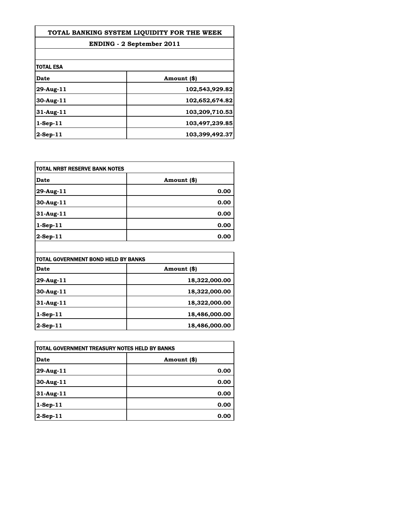| TOTAL BANKING SYSTEM LIQUIDITY FOR THE WEEK |                |
|---------------------------------------------|----------------|
| <b>ENDING - 2 September 2011</b>            |                |
|                                             |                |
| <b>TOTAL ESA</b>                            |                |
| Date                                        | Amount (\$)    |
| 29-Aug-11                                   | 102,543,929.82 |
| 30-Aug-11                                   | 102,652,674.82 |
| $31$ -Aug-11                                | 103,209,710.53 |
| $1-Sep-11$                                  | 103,497,239.85 |
| $2-Sep-11$                                  | 103,399,492.37 |

| <b>TOTAL NRBT RESERVE BANK NOTES</b> |             |
|--------------------------------------|-------------|
| <b>Date</b>                          | Amount (\$) |
| 29-Aug-11                            | 0.00        |
| 30-Aug-11                            | 0.00        |
| 31-Aug-11                            | 0.00        |
| $1-Sep-11$                           | 0.00        |
| $2-Sep-11$                           | 0.00        |

| TOTAL GOVERNMENT BOND HELD BY BANKS |               |
|-------------------------------------|---------------|
| Date                                | Amount (\$)   |
| 29-Aug-11                           | 18,322,000.00 |
| 30-Aug-11                           | 18,322,000.00 |
| 31-Aug-11                           | 18,322,000.00 |
| $1-Sep-11$                          | 18,486,000.00 |
| 2-Sep-11                            | 18,486,000.00 |

 $\mathsf{l}$ 

| ITOTAL GOVERNMENT TREASURY NOTES HELD BY BANKS |             |
|------------------------------------------------|-------------|
| Date                                           | Amount (\$) |
| 29-Aug-11                                      | 0.00        |
| 30-Aug-11                                      | 0.00        |
| 31-Aug-11                                      | 0.00        |
| $1-Sep-11$                                     | 0.00        |
| $2-Sep-11$                                     | 0.00        |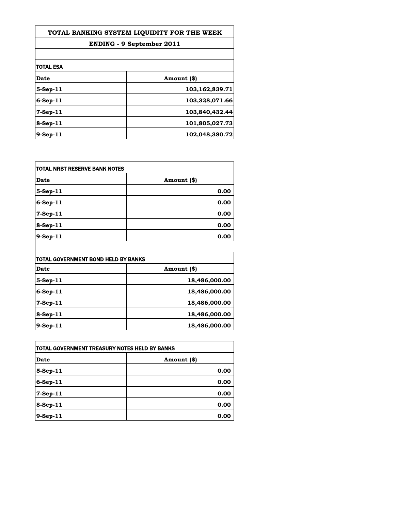| TOTAL BANKING SYSTEM LIQUIDITY FOR THE WEEK |                |
|---------------------------------------------|----------------|
| <b>ENDING - 9 September 2011</b>            |                |
|                                             |                |
| itotal esa                                  |                |
| Date                                        | Amount (\$)    |
| $5-Step-11$                                 | 103,162,839.71 |
| $6-Sep-11$                                  | 103,328,071.66 |
| $7-Sep-11$                                  | 103,840,432.44 |
| $8-Sep-11$                                  | 101,805,027.73 |
| 9-Sep-11                                    | 102,048,380.72 |

| <b>TOTAL NRBT RESERVE BANK NOTES</b> |             |
|--------------------------------------|-------------|
| <b>Date</b>                          | Amount (\$) |
| 5-Sep-11                             | 0.00        |
| $6-Sep-11$                           | 0.00        |
| 7-Sep-11                             | 0.00        |
| $8-Sep-11$                           | 0.00        |
| $9-Sep-11$                           | 0.00        |

| TOTAL GOVERNMENT BOND HELD BY BANKS |               |
|-------------------------------------|---------------|
| Date                                | Amount (\$)   |
| 5-Sep-11                            | 18,486,000.00 |
| $6-Sep-11$                          | 18,486,000.00 |
| 7-Sep-11                            | 18,486,000.00 |
| 8-Sep-11                            | 18,486,000.00 |
| 9-Sep-11                            | 18,486,000.00 |

 $\mathsf{l}$ 

| ITOTAL GOVERNMENT TREASURY NOTES HELD BY BANKS |             |
|------------------------------------------------|-------------|
| <b>Date</b>                                    | Amount (\$) |
| 5-Sep-11                                       | 0.00        |
| $6-Sep-11$                                     | 0.00        |
| 7-Sep-11                                       | 0.00        |
| 8-Sep-11                                       | 0.00        |
| 9-Sep-11                                       | 0.00        |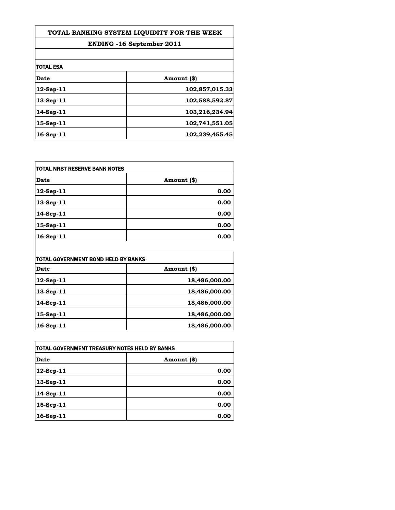| TOTAL BANKING SYSTEM LIOUIDITY FOR THE WEEK |                                  |
|---------------------------------------------|----------------------------------|
|                                             | <b>ENDING -16 September 2011</b> |
|                                             |                                  |
| itotal ESA                                  |                                  |
| Date                                        | Amount (\$)                      |
| $12$ -Sep-11                                | 102,857,015.33                   |
| $13-Sep-11$                                 | 102,588,592.87                   |
| $14-Sep-11$                                 | 103,216,234.94                   |
| $15$ -Sep-11                                | 102,741,551.05                   |
| 16-Sep-11                                   | 102,239,455.45                   |

| <b>TOTAL NRBT RESERVE BANK NOTES</b> |             |
|--------------------------------------|-------------|
| <b>Date</b>                          | Amount (\$) |
| 12-Sep-11                            | 0.00        |
| 13-Sep-11                            | 0.00        |
| 14-Sep-11                            | 0.00        |
| 15-Sep-11                            | 0.00        |
| 16-Sep-11                            | 0.00        |

| TOTAL GOVERNMENT BOND HELD BY BANKS |               |
|-------------------------------------|---------------|
| <b>Date</b>                         | Amount (\$)   |
| 12-Sep-11                           | 18,486,000.00 |
| 13-Sep-11                           | 18,486,000.00 |
| 14-Sep-11                           | 18,486,000.00 |
| 15-Sep-11                           | 18,486,000.00 |
| 16-Sep-11                           | 18,486,000.00 |

 $\overline{\phantom{a}}$ 

| <b>ITOTAL GOVERNMENT TREASURY NOTES HELD BY BANKS</b> |             |
|-------------------------------------------------------|-------------|
| Date                                                  | Amount (\$) |
| $12$ -Sep-11                                          | 0.00        |
| 13-Sep-11                                             | 0.00        |
| 14-Sep-11                                             | 0.00        |
| 15-Sep-11                                             | 0.00        |
| $16-Sep-11$                                           | 0.00        |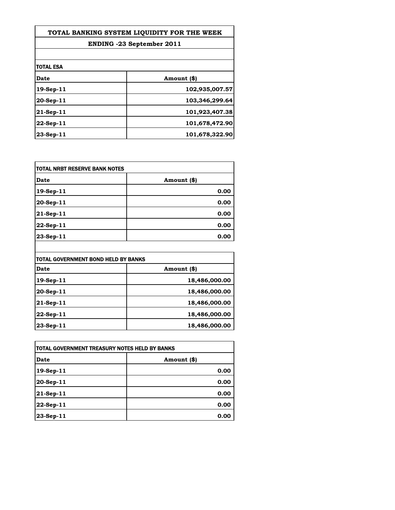| TOTAL BANKING SYSTEM LIQUIDITY FOR THE WEEK<br><b>ENDING -23 September 2011</b> |                |
|---------------------------------------------------------------------------------|----------------|
|                                                                                 |                |
| <b>TOTAL ESA</b>                                                                |                |
| Date                                                                            | Amount (\$)    |
| 19-Sep-11                                                                       | 102,935,007.57 |
| 20-Sep-11                                                                       | 103,346,299.64 |
| 21-Sep-11                                                                       | 101,923,407.38 |
| 22-Sep-11                                                                       | 101,678,472.90 |
| $23-Sep-11$                                                                     | 101,678,322.90 |

| <b>TOTAL NRBT RESERVE BANK NOTES</b> |             |
|--------------------------------------|-------------|
| <b>Date</b>                          | Amount (\$) |
| 19-Sep-11                            | 0.00        |
| 20-Sep-11                            | 0.00        |
| 21-Sep-11                            | 0.00        |
| 22-Sep-11                            | 0.00        |
| 23-Sep-11                            | 0.00        |

| TOTAL GOVERNMENT BOND HELD BY BANKS |               |
|-------------------------------------|---------------|
| <b>Date</b>                         | Amount (\$)   |
| 19-Sep-11                           | 18,486,000.00 |
| 20-Sep-11                           | 18,486,000.00 |
| 21-Sep-11                           | 18,486,000.00 |
| 22-Sep-11                           | 18,486,000.00 |
| 23-Sep-11                           | 18,486,000.00 |

| <b>ITOTAL GOVERNMENT TREASURY NOTES HELD BY BANKS</b> |             |
|-------------------------------------------------------|-------------|
| Date                                                  | Amount (\$) |
| 19-Sep-11                                             | 0.00        |
| 20-Sep-11                                             | 0.00        |
| 21-Sep-11                                             | 0.00        |
| 22-Sep-11                                             | 0.00        |
| 23-Sep-11                                             | 0.00        |